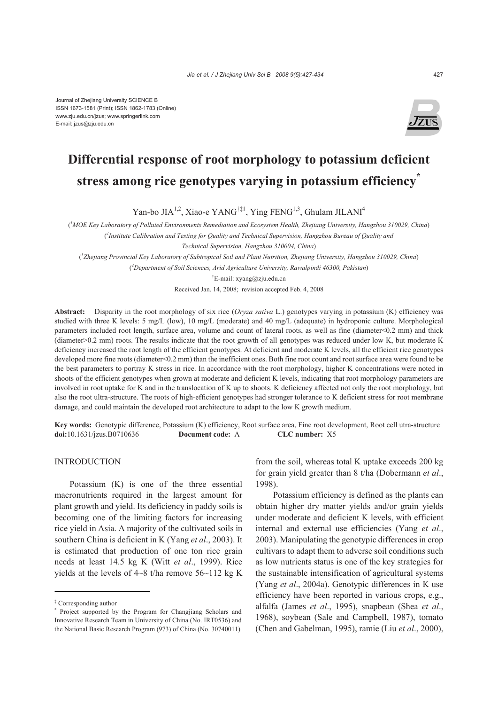Journal of Zhejiang University SCIENCE B ISSN 1673-1581 (Print); ISSN 1862-1783 (Online) www.zju.edu.cn/jzus; www.springerlink.com E-mail: jzus@zju.edu.cn



# **Differential response of root morphology to potassium deficient stress among rice genotypes varying in potassium efficiency\***

Yan-bo JIA<sup>1,2</sup>, Xiao-e YANG<sup>†‡1</sup>, Ying FENG<sup>1,3</sup>, Ghulam JILANI<sup>4</sup>

( *1 MOE Key Laboratory of Polluted Environments Remediation and Ecosystem Health, Zhejiang University, Hangzhou 310029, China*) ( *2 Institute Calibration and Testing for Quality and Technical Supervision, Hangzhou Bureau of Quality and* 

*Technical Supervision, Hangzhou 310004, China*)

( *3 Zhejiang Provincial Key Laboratory of Subtropical Soil and Plant Nutrition, Zhejiang University, Hangzhou 310029, China*)

( *4 Department of Soil Sciences, Arid Agriculture University, Rawalpindi 46300, Pakistan*)

† E-mail: xyang@zju.edu.cn

Received Jan. 14, 2008; revision accepted Feb. 4, 2008

**Abstract:** Disparity in the root morphology of six rice (*Oryza sativa* L.) genotypes varying in potassium (K) efficiency was studied with three K levels: 5 mg/L (low), 10 mg/L (moderate) and 40 mg/L (adequate) in hydroponic culture. Morphological parameters included root length, surface area, volume and count of lateral roots, as well as fine (diameter<0.2 mm) and thick (diameter>0.2 mm) roots. The results indicate that the root growth of all genotypes was reduced under low K, but moderate K deficiency increased the root length of the efficient genotypes. At deficient and moderate K levels, all the efficient rice genotypes developed more fine roots (diameter<0.2 mm) than the inefficient ones. Both fine root count and root surface area were found to be the best parameters to portray K stress in rice. In accordance with the root morphology, higher K concentrations were noted in shoots of the efficient genotypes when grown at moderate and deficient K levels, indicating that root morphology parameters are involved in root uptake for K and in the translocation of K up to shoots. K deficiency affected not only the root morphology, but also the root ultra-structure. The roots of high-efficient genotypes had stronger tolerance to K deficient stress for root membrane damage, and could maintain the developed root architecture to adapt to the low K growth medium.

**Key words:** Genotypic difference, Potassium (K) efficiency, Root surface area, Fine root development, Root cell utra-structure **doi:**10.1631/jzus.B0710636 **Document code:** A **CLC number:** X5

### INTRODUCTION

Potassium (K) is one of the three essential macronutrients required in the largest amount for plant growth and yield. Its deficiency in paddy soils is becoming one of the limiting factors for increasing rice yield in Asia. A majority of the cultivated soils in southern China is deficient in K (Yang *et al*., 2003). It is estimated that production of one ton rice grain needs at least 14.5 kg K (Witt *et al*., 1999). Rice vields at the levels of  $4~8$  t/ha remove  $56~112$  kg K

from the soil, whereas total K uptake exceeds 200 kg for grain yield greater than 8 t/ha (Dobermann *et al*., 1998).

Potassium efficiency is defined as the plants can obtain higher dry matter yields and/or grain yields under moderate and deficient K levels, with efficient internal and external use efficiencies (Yang *et al*., 2003). Manipulating the genotypic differences in crop cultivars to adapt them to adverse soil conditions such as low nutrients status is one of the key strategies for the sustainable intensification of agricultural systems (Yang *et al*., 2004a). Genotypic differences in K use efficiency have been reported in various crops, e.g., alfalfa (James *et al*., 1995), snapbean (Shea *et al*., 1968), soybean (Sale and Campbell, 1987), tomato (Chen and Gabelman, 1995), ramie (Liu *et al*., 2000),

<sup>‡</sup> Corresponding author

<sup>\*</sup> Project supported by the Program for Changjiang Scholars and Innovative Research Team in University of China (No. IRT0536) and the National Basic Research Program (973) of China (No. 30740011)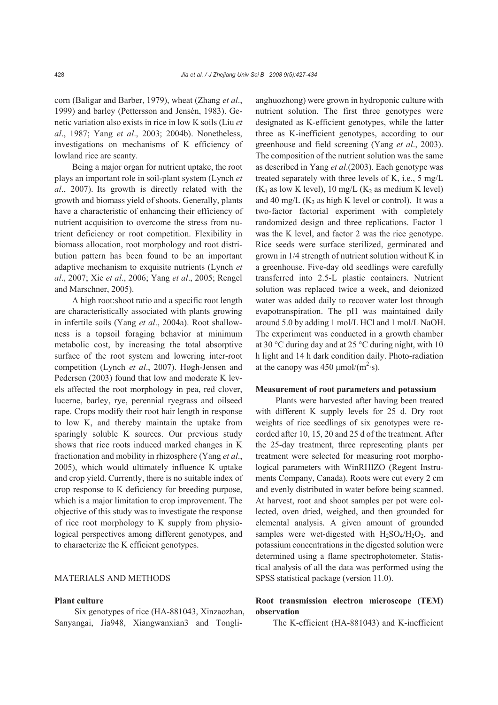corn (Baligar and Barber, 1979), wheat (Zhang *et al*., 1999) and barley (Pettersson and Jensén, 1983). Genetic variation also exists in rice in low K soils (Liu *et al*., 1987; Yang *et al*., 2003; 2004b). Nonetheless, investigations on mechanisms of K efficiency of lowland rice are scanty.

Being a major organ for nutrient uptake, the root plays an important role in soil-plant system (Lynch *et al*., 2007). Its growth is directly related with the growth and biomass yield of shoots. Generally, plants have a characteristic of enhancing their efficiency of nutrient acquisition to overcome the stress from nutrient deficiency or root competition. Flexibility in biomass allocation, root morphology and root distribution pattern has been found to be an important adaptive mechanism to exquisite nutrients (Lynch *et al*., 2007; Xie *et al*., 2006; Yang *et al*., 2005; Rengel and Marschner, 2005).

A high root:shoot ratio and a specific root length are characteristically associated with plants growing in infertile soils (Yang *et al*., 2004a). Root shallowness is a topsoil foraging behavior at minimum metabolic cost, by increasing the total absorptive surface of the root system and lowering inter-root competition (Lynch *et al*., 2007). Høgh-Jensen and Pedersen (2003) found that low and moderate K levels affected the root morphology in pea, red clover, lucerne, barley, rye, perennial ryegrass and oilseed rape. Crops modify their root hair length in response to low K, and thereby maintain the uptake from sparingly soluble K sources. Our previous study shows that rice roots induced marked changes in K fractionation and mobility in rhizosphere (Yang *et al*., 2005), which would ultimately influence K uptake and crop yield. Currently, there is no suitable index of crop response to K deficiency for breeding purpose, which is a major limitation to crop improvement. The objective of this study was to investigate the response of rice root morphology to K supply from physiological perspectives among different genotypes, and to characterize the K efficient genotypes.

### MATERIALS AND METHODS

#### **Plant culture**

Six genotypes of rice (HA-881043, Xinzaozhan, Sanyangai, Jia948, Xiangwanxian3 and Tonglianghuozhong) were grown in hydroponic culture with nutrient solution. The first three genotypes were designated as K-efficient genotypes, while the latter three as K-inefficient genotypes, according to our greenhouse and field screening (Yang *et al*., 2003). The composition of the nutrient solution was the same as described in Yang *et al*.(2003). Each genotype was treated separately with three levels of K, i.e., 5 mg/L  $(K_1$  as low K level), 10 mg/L  $(K_2$  as medium K level) and 40 mg/L  $(K_3$  as high K level or control). It was a two-factor factorial experiment with completely randomized design and three replications. Factor 1 was the K level, and factor 2 was the rice genotype. Rice seeds were surface sterilized, germinated and grown in 1/4 strength of nutrient solution without K in a greenhouse. Five-day old seedlings were carefully transferred into 2.5-L plastic containers. Nutrient solution was replaced twice a week, and deionized water was added daily to recover water lost through evapotranspiration. The pH was maintained daily around 5.0 by adding 1 mol/L HCl and 1 mol/L NaOH. The experiment was conducted in a growth chamber at 30 °C during day and at 25 °C during night, with 10 h light and 14 h dark condition daily. Photo-radiation at the canopy was  $450 \mu \text{mol/(m}^2 \text{·s)}$ .

#### **Measurement of root parameters and potassium**

Plants were harvested after having been treated with different K supply levels for 25 d. Dry root weights of rice seedlings of six genotypes were recorded after 10, 15, 20 and 25 d of the treatment. After the 25-day treatment, three representing plants per treatment were selected for measuring root morphological parameters with WinRHIZO (Regent Instruments Company, Canada). Roots were cut every 2 cm and evenly distributed in water before being scanned. At harvest, root and shoot samples per pot were collected, oven dried, weighed, and then grounded for elemental analysis. A given amount of grounded samples were wet-digested with  $H_2SO_4/H_2O_2$ , and potassium concentrations in the digested solution were determined using a flame spectrophotometer. Statistical analysis of all the data was performed using the SPSS statistical package (version 11.0).

# **Root transmission electron microscope (TEM) observation**

The K-efficient (HA-881043) and K-inefficient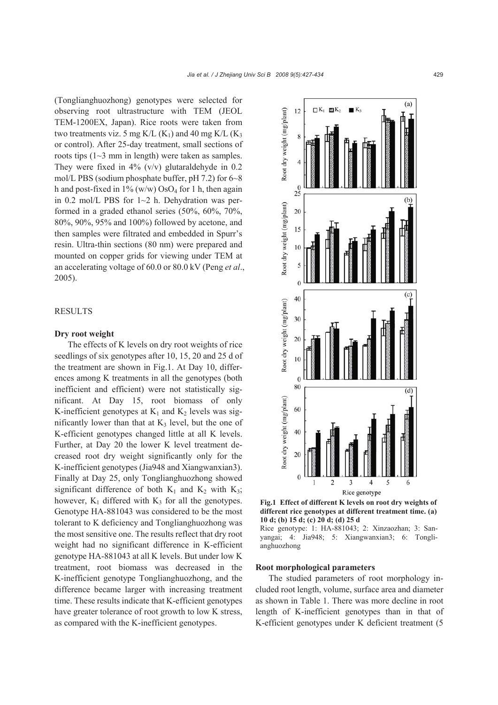(Tonglianghuozhong) genotypes were selected for observing root ultrastructure with TEM (JEOL TEM-1200EX, Japan). Rice roots were taken from two treatments viz. 5 mg K/L  $(K_1)$  and 40 mg K/L  $(K_3)$ or control). After 25-day treatment, small sections of roots tips (1~3 mm in length) were taken as samples. They were fixed in  $4\%$  (v/v) glutaraldehyde in 0.2 mol/L PBS (sodium phosphate buffer, pH 7.2) for 6~8 h and post-fixed in  $1\%$  (w/w) OsO<sub>4</sub> for 1 h, then again in  $0.2$  mol/L PBS for  $1~2$  h. Dehydration was performed in a graded ethanol series (50%, 60%, 70%, 80%, 90%, 95% and 100%) followed by acetone, and then samples were filtrated and embedded in Spurr's resin. Ultra-thin sections (80 nm) were prepared and mounted on copper grids for viewing under TEM at an accelerating voltage of 60.0 or 80.0 kV (Peng *et al*., 2005).

### RESULTS

#### **Dry root weight**

The effects of K levels on dry root weights of rice seedlings of six genotypes after 10, 15, 20 and 25 d of the treatment are shown in Fig.1. At Day 10, differences among K treatments in all the genotypes (both inefficient and efficient) were not statistically significant. At Day 15, root biomass of only K-inefficient genotypes at  $K_1$  and  $K_2$  levels was significantly lower than that at  $K_3$  level, but the one of K-efficient genotypes changed little at all K levels. Further, at Day 20 the lower K level treatment decreased root dry weight significantly only for the K-inefficient genotypes (Jia948 and Xiangwanxian3). Finally at Day 25, only Tonglianghuozhong showed significant difference of both  $K_1$  and  $K_2$  with  $K_3$ ; however,  $K_1$  differed with  $K_3$  for all the genotypes. Genotype HA-881043 was considered to be the most tolerant to K deficiency and Tonglianghuozhong was the most sensitive one. The results reflect that dry root weight had no significant difference in K-efficient genotype HA-881043 at all K levels. But under low K treatment, root biomass was decreased in the K-inefficient genotype Tonglianghuozhong, and the difference became larger with increasing treatment time. These results indicate that K-efficient genotypes have greater tolerance of root growth to low K stress, as compared with the K-inefficient genotypes.



**Fig.1 Effect of different K levels on root dry weights of different rice genotypes at different treatment time. (a) 10 d; (b) 15 d; (c) 20 d; (d) 25 d** 

Rice genotype: 1: HA-881043; 2: Xinzaozhan; 3: Sanyangai; 4: Jia948; 5: Xiangwanxian3; 6: Tonglianghuozhong

#### **Root morphological parameters**

The studied parameters of root morphology included root length, volume, surface area and diameter as shown in Table 1. There was more decline in root length of K-inefficient genotypes than in that of K-efficient genotypes under K deficient treatment (5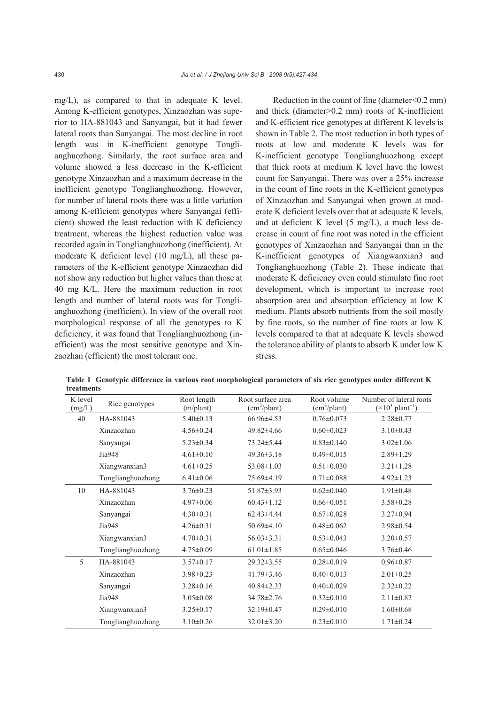mg/L), as compared to that in adequate K level. Among K-efficient genotypes, Xinzaozhan was superior to HA-881043 and Sanyangai, but it had fewer lateral roots than Sanyangai. The most decline in root length was in K-inefficient genotype Tonglianghuozhong. Similarly, the root surface area and volume showed a less decrease in the K-efficient genotype Xinzaozhan and a maximum decrease in the inefficient genotype Tonglianghuozhong. However, for number of lateral roots there was a little variation among K-efficient genotypes where Sanyangai (efficient) showed the least reduction with K deficiency treatment, whereas the highest reduction value was recorded again in Tonglianghuozhong (inefficient). At moderate K deficient level (10 mg/L), all these parameters of the K-efficient genotype Xinzaozhan did not show any reduction but higher values than those at 40 mg K/L. Here the maximum reduction in root length and number of lateral roots was for Tonglianghuozhong (inefficient). In view of the overall root morphological response of all the genotypes to K deficiency, it was found that Tonglianghuozhong (inefficient) was the most sensitive genotype and Xinzaozhan (efficient) the most tolerant one.

Reduction in the count of fine (diameter<0.2 mm) and thick (diameter>0.2 mm) roots of K-inefficient and K-efficient rice genotypes at different K levels is shown in Table 2. The most reduction in both types of roots at low and moderate K levels was for K-inefficient genotype Tonglianghuozhong except that thick roots at medium K level have the lowest count for Sanyangai. There was over a 25% increase in the count of fine roots in the K-efficient genotypes of Xinzaozhan and Sanyangai when grown at moderate K deficient levels over that at adequate K levels, and at deficient K level (5 mg/L), a much less decrease in count of fine root was noted in the efficient genotypes of Xinzaozhan and Sanyangai than in the K-inefficient genotypes of Xiangwanxian3 and Tonglianghuozhong (Table 2). These indicate that moderate K deficiency even could stimulate fine root development, which is important to increase root absorption area and absorption efficiency at low K medium. Plants absorb nutrients from the soil mostly by fine roots, so the number of fine roots at low K levels compared to that at adequate K levels showed the tolerance ability of plants to absorb K under low K stress.

| K level<br>(mg/L) | Rice genotypes    | Root length<br>(m/plant) | Root surface area<br>(cm <sup>2</sup> /plant) | Root volume<br>(cm <sup>3</sup> /plant) | Number of lateral roots<br>$(\times 10^3 \text{ plant}^{-1})$ |
|-------------------|-------------------|--------------------------|-----------------------------------------------|-----------------------------------------|---------------------------------------------------------------|
| 40                | HA-881043         | $5.40 \pm 0.13$          | $66.96\pm4.53$                                | $0.76 \pm 0.073$                        | $2.28 \pm 0.77$                                               |
|                   | Xinzaozhan        | $4.56 \pm 0.24$          | $49.82 \pm 4.66$                              | $0.60 \pm 0.023$                        | $3.10\pm0.43$                                                 |
|                   | Sanyangai         | $5.23 \pm 0.34$          | 73.24±5.44                                    | $0.83 \pm 0.140$                        | $3.02 \pm 1.06$                                               |
|                   | Jia948            | $4.61 \pm 0.10$          | $49.36 \pm 3.18$                              | $0.49 \pm 0.015$                        | $2.89 \pm 1.29$                                               |
|                   | Xiangwanxian3     | $4.61 \pm 0.25$          | $53.08 \pm 1.03$                              | $0.51 \pm 0.030$                        | $3.21 \pm 1.28$                                               |
|                   | Tonglianghuozhong | $6.41 \pm 0.06$          | 75.69±4.19                                    | $0.71 \pm 0.088$                        | $4.92 \pm 1.23$                                               |
| 10                | HA-881043         | $3.76 \pm 0.23$          | $51.87 \pm 3.93$                              | $0.62 \pm 0.040$                        | $1.91 \pm 0.48$                                               |
|                   | Xinzaozhan        | $4.97 \pm 0.06$          | $60.43 \pm 1.12$                              | $0.66 \pm 0.051$                        | $3.58 \pm 0.28$                                               |
|                   | Sanyangai         | $4.30 \pm 0.31$          | $62.43 \pm 4.44$                              | $0.67 \pm 0.028$                        | $3.27 \pm 0.94$                                               |
|                   | Jia948            | $4.26 \pm 0.31$          | $50.69 \pm 4.10$                              | $0.48 \pm 0.062$                        | $2.98 \pm 0.54$                                               |
|                   | Xiangwanxian3     | $4.70 \pm 0.31$          | $56.03 \pm 3.31$                              | $0.53 \pm 0.043$                        | $3.20 \pm 0.57$                                               |
|                   | Tonglianghuozhong | $4.75 \pm 0.09$          | $61.01 \pm 1.85$                              | $0.65 \pm 0.046$                        | $3.76 \pm 0.46$                                               |
| 5                 | HA-881043         | $3.57 \pm 0.17$          | $29.32 \pm 3.55$                              | $0.28 \pm 0.019$                        | $0.96 \pm 0.87$                                               |
|                   | Xinzaozhan        | $3.98 \pm 0.23$          | $41.79 \pm 3.46$                              | $0.40 \pm 0.013$                        | $2.01 \pm 0.25$                                               |
|                   | Sanyangai         | $3.28 \pm 0.16$          | $40.84 \pm 2.33$                              | $0.40 \pm 0.029$                        | $2.32 \pm 0.22$                                               |
|                   | Jia948            | $3.05 \pm 0.08$          | 34.78±2.76                                    | $0.32 \pm 0.010$                        | $2.11 \pm 0.82$                                               |
|                   | Xiangwanxian3     | $3.25 \pm 0.17$          | $32.19 \pm 0.47$                              | $0.29 \pm 0.010$                        | $1.60 \pm 0.68$                                               |
|                   | Tonglianghuozhong | $3.10\pm0.26$            | $32.01 \pm 3.20$                              | $0.23 \pm 0.010$                        | $1.71 \pm 0.24$                                               |

**Table 1 Genotypic difference in various root morphological parameters of six rice genotypes under different K treatments**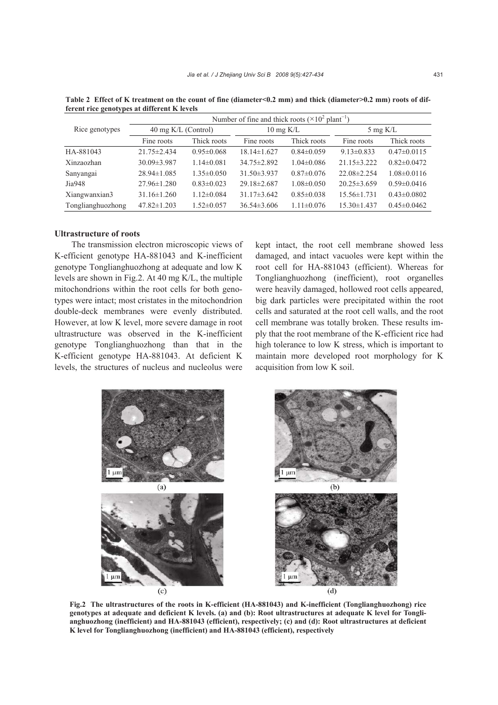|                   | Number of fine and thick roots ( $\times 10^2$ plant <sup>-1</sup> ) |                  |                      |                  |                   |                   |  |  |  |
|-------------------|----------------------------------------------------------------------|------------------|----------------------|------------------|-------------------|-------------------|--|--|--|
| Rice genotypes    | 40 mg $K/L$ (Control)                                                |                  | $10 \text{ mg } K/L$ |                  | 5 mg $K/L$        |                   |  |  |  |
|                   | Fine roots                                                           | Thick roots      | Fine roots           | Thick roots      | Fine roots        | Thick roots       |  |  |  |
| HA-881043         | $21.75 \pm 2.434$                                                    | $0.95 \pm 0.068$ | $18.14 \pm 1.627$    | $0.84 \pm 0.059$ | $9.13 \pm 0.833$  | $0.47\pm0.0115$   |  |  |  |
| Xinzaozhan        | $30.09 \pm 3.987$                                                    | $1.14 \pm 0.081$ | 34.75 ± 2.892        | $1.04 \pm 0.086$ | $21.15 \pm 3.222$ | $0.82 \pm 0.0472$ |  |  |  |
| Sanyangai         | $28.94 \pm 1.085$                                                    | $1.35 \pm 0.050$ | $31.50 \pm 3.937$    | $0.87 \pm 0.076$ | 22.08±2.254       | $1.08 \pm 0.0116$ |  |  |  |
| Jia948            | $27.96 \pm 1.280$                                                    | $0.83\pm0.023$   | $29.18 \pm 2.687$    | $1.08 \pm 0.050$ | $20.25 \pm 3.659$ | $0.59 \pm 0.0416$ |  |  |  |
| Xiangwanxian3     | $31.16 \pm 1.260$                                                    | $1.12 \pm 0.084$ | $31.17\pm3.642$      | $0.85 \pm 0.038$ | $15.56 \pm 1.731$ | $0.43 \pm 0.0802$ |  |  |  |
| Tonglianghuozhong | $47.82 \pm 1.203$                                                    | $1.52 \pm 0.057$ | $36.54\pm3.606$      | $1.11 \pm 0.076$ | $15.30 \pm 1.437$ | $0.45 \pm 0.0462$ |  |  |  |

Table 2 Effect of K treatment on the count of fine (diameter<0.2 mm) and thick (diameter>0.2 mm) roots of dif**ferent rice genotypes at different K levels** 

#### **Ultrastructure of roots**

The transmission electron microscopic views of K-efficient genotype HA-881043 and K-inefficient genotype Tonglianghuozhong at adequate and low K levels are shown in Fig.2. At 40 mg K/L, the multiple mitochondrions within the root cells for both genotypes were intact; most cristates in the mitochondrion double-deck membranes were evenly distributed. However, at low K level, more severe damage in root ultrastructure was observed in the K-inefficient genotype Tonglianghuozhong than that in the K-efficient genotype HA-881043. At deficient K levels, the structures of nucleus and nucleolus were kept intact, the root cell membrane showed less damaged, and intact vacuoles were kept within the root cell for HA-881043 (efficient). Whereas for Tonglianghuozhong (inefficient), root organelles were heavily damaged, hollowed root cells appeared, big dark particles were precipitated within the root cells and saturated at the root cell walls, and the root cell membrane was totally broken. These results imply that the root membrane of the K-efficient rice had high tolerance to low K stress, which is important to maintain more developed root morphology for K acquisition from low K soil.



**Fig.2 The ultrastructures of the roots in K-efficient (HA-881043) and K-inefficient (Tonglianghuozhong) rice genotypes at adequate and deficient K levels. (a) and (b): Root ultrastructures at adequate K level for Tonglianghuozhong (inefficient) and HA-881043 (efficient), respectively; (c) and (d): Root ultrastructures at deficient K level for Tonglianghuozhong (inefficient) and HA-881043 (efficient), respectively**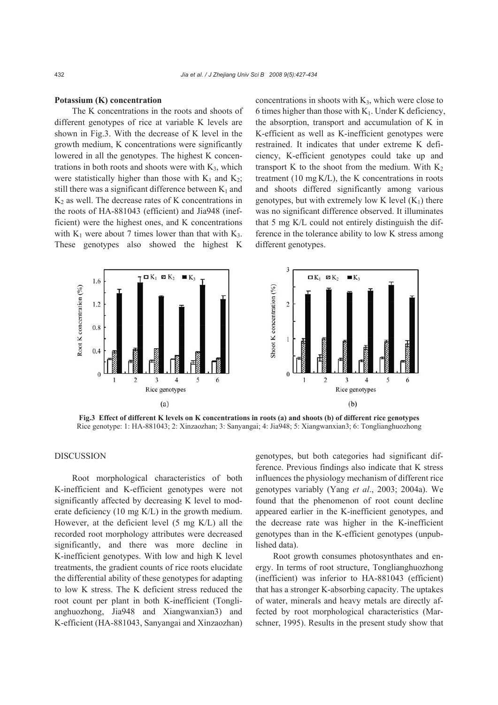#### **Potassium (K) concentration**

The K concentrations in the roots and shoots of different genotypes of rice at variable K levels are shown in Fig.3. With the decrease of K level in the growth medium, K concentrations were significantly lowered in all the genotypes. The highest K concentrations in both roots and shoots were with  $K_3$ , which were statistically higher than those with  $K_1$  and  $K_2$ ; still there was a significant difference between  $K_1$  and  $K<sub>2</sub>$  as well. The decrease rates of K concentrations in the roots of HA-881043 (efficient) and Jia948 (inefficient) were the highest ones, and K concentrations with  $K_1$  were about 7 times lower than that with  $K_3$ . These genotypes also showed the highest K

concentrations in shoots with  $K_3$ , which were close to 6 times higher than those with  $K_1$ . Under K deficiency, the absorption, transport and accumulation of K in K-efficient as well as K-inefficient genotypes were restrained. It indicates that under extreme K deficiency, K-efficient genotypes could take up and transport K to the shoot from the medium. With  $K_2$ treatment (10 mg K**/**L), the K concentrations in roots and shoots differed significantly among various genotypes, but with extremely low K level  $(K_1)$  there was no significant difference observed. It illuminates that 5 mg K/L could not entirely distinguish the difference in the tolerance ability to low K stress among different genotypes.



**Fig.3 Effect of different K levels on K concentrations in roots (a) and shoots (b) of different rice genotypes**  Rice genotype: 1: HA-881043; 2: Xinzaozhan; 3: Sanyangai; 4: Jia948; 5: Xiangwanxian3; 6: Tonglianghuozhong

#### **DISCUSSION**

Root morphological characteristics of both K-inefficient and K-efficient genotypes were not significantly affected by decreasing K level to moderate deficiency (10 mg K/L) in the growth medium. However, at the deficient level (5 mg K/L) all the recorded root morphology attributes were decreased significantly, and there was more decline in K-inefficient genotypes. With low and high K level treatments, the gradient counts of rice roots elucidate the differential ability of these genotypes for adapting to low K stress. The K deficient stress reduced the root count per plant in both K-inefficient (Tonglianghuozhong, Jia948 and Xiangwanxian3) and K-efficient (HA-881043, Sanyangai and Xinzaozhan)

genotypes, but both categories had significant difference. Previous findings also indicate that K stress influences the physiology mechanism of different rice genotypes variably (Yang *et al*., 2003; 2004a). We found that the phenomenon of root count decline appeared earlier in the K-inefficient genotypes, and the decrease rate was higher in the K-inefficient genotypes than in the K-efficient genotypes (unpublished data).

Root growth consumes photosynthates and energy. In terms of root structure, Tonglianghuozhong (inefficient) was inferior to HA-881043 (efficient) that has a stronger K-absorbing capacity. The uptakes of water, minerals and heavy metals are directly affected by root morphological characteristics (Marschner, 1995). Results in the present study show that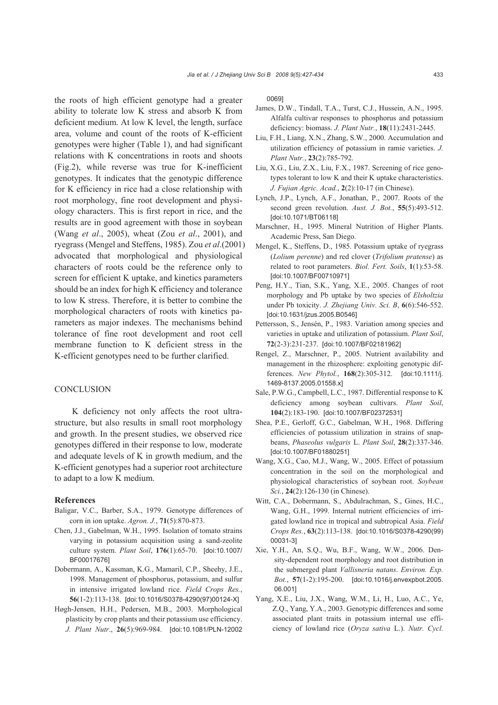the roots of high efficient genotype had a greater ability to tolerate low K stress and absorb K from deficient medium. At low K level, the length, surface area, volume and count of the roots of K-efficient genotypes were higher (Table 1), and had significant relations with K concentrations in roots and shoots (Fig.2), while reverse was true for K-inefficient genotypes. It indicates that the genotypic difference for K efficiency in rice had a close relationship with root morphology, fine root development and physiology characters. This is first report in rice, and the results are in good agreement with those in soybean (Wang *et al*., 2005), wheat (Zou *et al*., 2001), and ryegrass (Mengel and Steffens, 1985). Zou *et al*.(2001) advocated that morphological and physiological characters of roots could be the reference only to screen for efficient K uptake, and kinetics parameters should be an index for high K efficiency and tolerance to low K stress. Therefore, it is better to combine the morphological characters of roots with kinetics parameters as major indexes. The mechanisms behind tolerance of fine root development and root cell membrane function to K deficient stress in the K-efficient genotypes need to be further clarified.

## **CONCLUSION**

K deficiency not only affects the root ultrastructure, but also results in small root morphology and growth. In the present studies, we observed rice genotypes differed in their response to low, moderate and adequate levels of K in growth medium, and the K-efficient genotypes had a superior root architecture to adapt to a low K medium.

#### **References**

- Baligar, V.C., Barber, S.A., 1979. Genotype differences of corn in ion uptake. *Agron. J.*, **71**(5):870-873.
- Chen, J.J., Gabelman, W.H., 1995. Isolation of tomato strains varying in potassium acquisition using a sand-zeolite culture system. *Plant Soil*, **176**(1):65-70. [doi:10.1007/ BF00017676]
- Dobermann, A., Kassman, K.G., Mamaril, C.P., Sheehy, J.E., 1998. Management of phosphorus, potassium, and sulfur in intensive irrigated lowland rice. *Field Crops Res.*, **56**(1-2):113-138. [doi:10.1016/S0378-4290(97)00124-X]
- Høgh-Jensen, H.H., Pedersen, M.B., 2003. Morphological plasticity by crop plants and their potassium use efficiency. *J. Plant Nutr*., **26**(5):969-984. [doi:10.1081/PLN-12002

0069]

- James, D.W., Tindall, T.A., Turst, C.J., Hussein, A.N., 1995. Alfalfa cultivar responses to phosphorus and potassium deficiency: biomass. *J. Plant Nutr.*, **18**(11):2431-2445.
- Liu, F.H., Liang, X.N., Zhang, S.W., 2000. Accumulation and utilization efficiency of potassium in ramie varieties. *J. Plant Nutr.*, **23**(2):785-792.
- Liu, X.G., Liu, Z.X., Liu, F.X., 1987. Screening of rice genotypes tolerant to low K and their K uptake characteristics. *J. Fujian Agric. Acad.*, **2**(2):10-17 (in Chinese).
- Lynch, J.P., Lynch, A.F., Jonathan, P., 2007. Roots of the second green revolution. *Aust. J. Bot.*, **55**(5):493-512. [doi:10.1071/BT06118]
- Marschner, H., 1995. Mineral Nutrition of Higher Plants. Academic Press, San Diego.
- Mengel, K., Steffens, D., 1985. Potassium uptake of ryegrass (*Lolium perenne*) and red clover (*Trifolium pratense*) as related to root parameters. *Biol. Fert. Soils*, **1**(1):53-58. [doi:10.1007/BF00710971]
- Peng, H.Y., Tian, S.K., Yang, X.E., 2005. Changes of root morphology and Pb uptake by two species of *Elsholtzia* under Pb toxicity. *J. Zhejiang Univ. Sci. B*, **6**(6):546-552. [doi:10.1631/jzus.2005.B0546]
- Pettersson, S., Jensén, P., 1983. Variation among species and varieties in uptake and utilization of potassium. *Plant Soil*, **72**(2-3):231-237. [doi:10.1007/BF02181962]
- Rengel, Z., Marschner, P., 2005. Nutrient availability and management in the rhizosphere: exploiting genotypic differences. *New Phytol.*, **168**(2):305-312. [doi:10.1111/j. 1469-8137.2005.01558.x]
- Sale, P.W.G., Campbell, L.C., 1987. Differential response to K deficiency among soybean cultivars. *Plant Soil*, **104**(2):183-190. [doi:10.1007/BF02372531]
- Shea, P.E., Gerloff, G.C., Gabelman, W.H., 1968. Differing efficiencies of potassium utilization in strains of snapbeans, *Phaseolus vulgaris* L. *Plant Soil*, **28**(2):337-346. [doi:10.1007/BF01880251]
- Wang, X.G., Cao, M.J., Wang, W., 2005. Effect of potassium concentration in the soil on the morphological and physiological characteristics of soybean root. *Soybean Sci.*, **24**(2):126-130 (in Chinese).
- Witt, C.A., Dobermann, S., Abdulrachman, S., Gines, H.C., Wang, G.H., 1999. Internal nutrient efficiencies of irrigated lowland rice in tropical and subtropical Asia. *Field Crops Res.*, **63**(2):113-138. [doi:10.1016/S0378-4290(99) 00031-3]
- Xie, Y.H., An, S.Q., Wu, B.F., Wang, W.W., 2006. Density-dependent root morphology and root distribution in the submerged plant *Vallisneria natans*. *Environ. Exp. Bot.*, **57**(1-2):195-200. [doi:10.1016/j.envexpbot.2005. 06.001]
- Yang, X.E., Liu, J.X., Wang, W.M., Li, H., Luo, A.C., Ye, Z.Q., Yang, Y.A., 2003. Genotypic differences and some associated plant traits in potassium internal use efficiency of lowland rice (*Oryza sativa* L.). *Nutr. Cycl.*